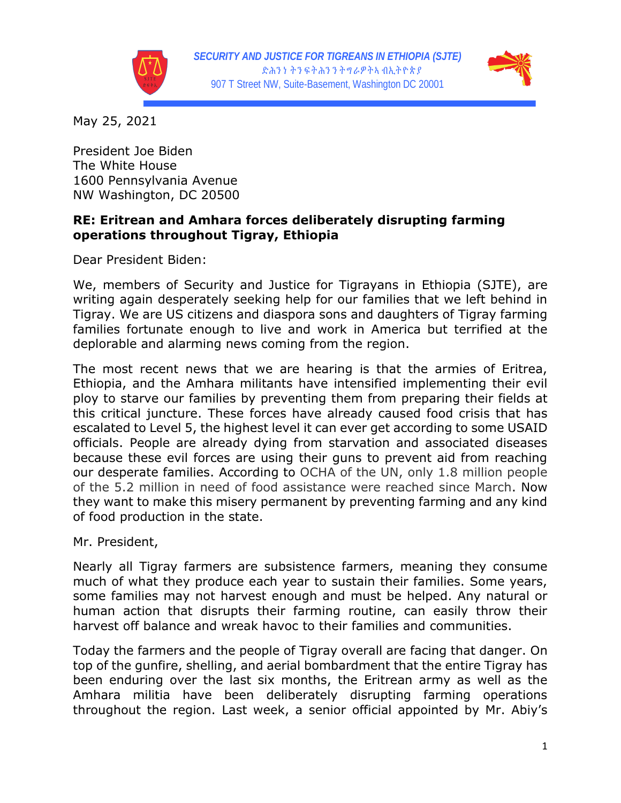



May 25, 2021

President Joe Biden The White House 1600 Pennsylvania Avenue NW Washington, DC 20500

## **RE: Eritrean and Amhara forces deliberately disrupting farming operations throughout Tigray, Ethiopia**

Dear President Biden:

We, members of Security and Justice for Tigrayans in Ethiopia (SJTE), are writing again desperately seeking help for our families that we left behind in Tigray. We are US citizens and diaspora sons and daughters of Tigray farming families fortunate enough to live and work in America but terrified at the deplorable and alarming news coming from the region.

The most recent news that we are hearing is that the armies of Eritrea, Ethiopia, and the Amhara militants have intensified implementing their evil ploy to starve our families by preventing them from preparing their fields at this critical juncture. These forces have already caused food crisis that has escalated to Level 5, the highest level it can ever get according to some USAID officials. People are already dying from starvation and associated diseases because these evil forces are using their guns to prevent aid from reaching our desperate families. According to OCHA of the UN, only 1.8 million people of the 5.2 million in need of food assistance were reached since March. Now they want to make this misery permanent by preventing farming and any kind of food production in the state.

Mr. President,

Nearly all Tigray farmers are subsistence farmers, meaning they consume much of what they produce each year to sustain their families. Some years, some families may not harvest enough and must be helped. Any natural or human action that disrupts their farming routine, can easily throw their harvest off balance and wreak havoc to their families and communities.

Today the farmers and the people of Tigray overall are facing that danger. On top of the gunfire, shelling, and aerial bombardment that the entire Tigray has been enduring over the last six months, the Eritrean army as well as the Amhara militia have been deliberately disrupting farming operations throughout the region. Last week, a senior official appointed by Mr. Abiy's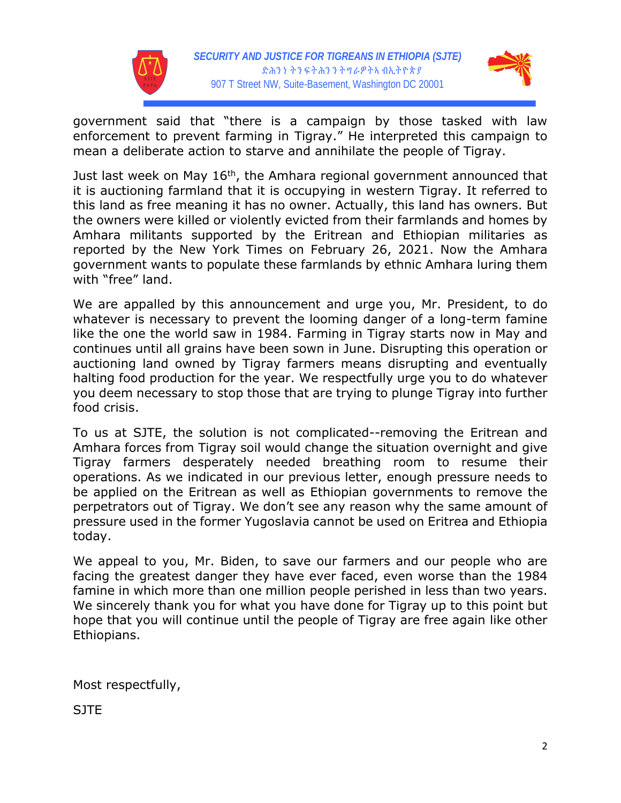



government said that "there is a campaign by those tasked with law enforcement to prevent farming in Tigray." He interpreted this campaign to mean a deliberate action to starve and annihilate the people of Tigray.

Just last week on May 16<sup>th</sup>, the Amhara regional government announced that it is auctioning farmland that it is occupying in western Tigray. It referred to this land as free meaning it has no owner. Actually, this land has owners. But the owners were killed or violently evicted from their farmlands and homes by Amhara militants supported by the Eritrean and Ethiopian militaries as reported by the New York Times on February 26, 2021. Now the Amhara government wants to populate these farmlands by ethnic Amhara luring them with "free" land.

We are appalled by this announcement and urge you, Mr. President, to do whatever is necessary to prevent the looming danger of a long-term famine like the one the world saw in 1984. Farming in Tigray starts now in May and continues until all grains have been sown in June. Disrupting this operation or auctioning land owned by Tigray farmers means disrupting and eventually halting food production for the year. We respectfully urge you to do whatever you deem necessary to stop those that are trying to plunge Tigray into further food crisis.

To us at SJTE, the solution is not complicated--removing the Eritrean and Amhara forces from Tigray soil would change the situation overnight and give Tigray farmers desperately needed breathing room to resume their operations. As we indicated in our previous letter, enough pressure needs to be applied on the Eritrean as well as Ethiopian governments to remove the perpetrators out of Tigray. We don't see any reason why the same amount of pressure used in the former Yugoslavia cannot be used on Eritrea and Ethiopia today.

We appeal to you, Mr. Biden, to save our farmers and our people who are facing the greatest danger they have ever faced, even worse than the 1984 famine in which more than one million people perished in less than two years. We sincerely thank you for what you have done for Tigray up to this point but hope that you will continue until the people of Tigray are free again like other Ethiopians.

Most respectfully,

**SITE**